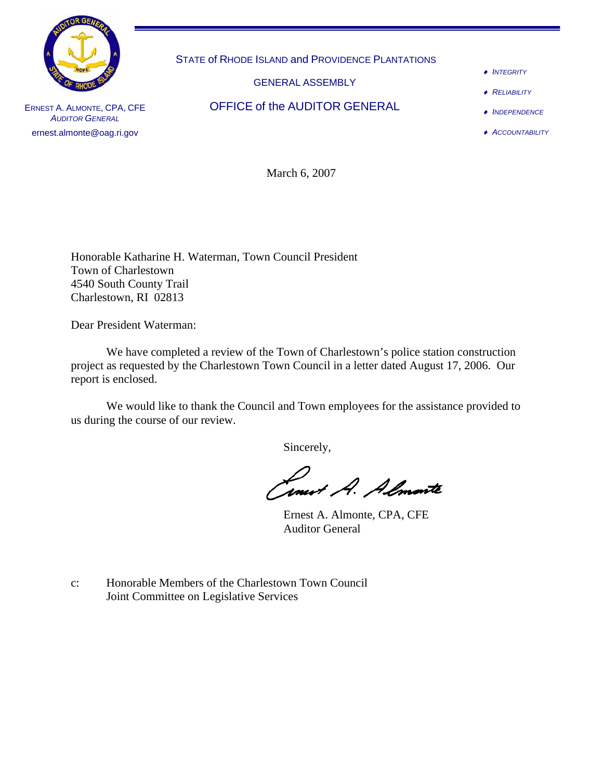

STATE of RHODE ISLAND and PROVIDENCE PLANTATIONS

GENERAL ASSEMBLY

OFFICE of the AUDITOR GENERAL

- ♦ *INTEGRITY*
- ♦ *RELIABILITY*
- ♦ *INDEPENDENCE*
- ♦ *ACCOUNTABILITY*

ERNEST A. ALMONTE, CPA, CFE *AUDITOR GENERAL* ernest.almonte@oag.ri.gov

March 6, 2007

Honorable Katharine H. Waterman, Town Council President Town of Charlestown 4540 South County Trail Charlestown, RI 02813

Dear President Waterman:

 We have completed a review of the Town of Charlestown's police station construction project as requested by the Charlestown Town Council in a letter dated August 17, 2006. Our report is enclosed.

 We would like to thank the Council and Town employees for the assistance provided to us during the course of our review.

Sincerely,

formert A. Almante

Ernest A. Almonte, CPA, CFE Auditor General

c: Honorable Members of the Charlestown Town Council Joint Committee on Legislative Services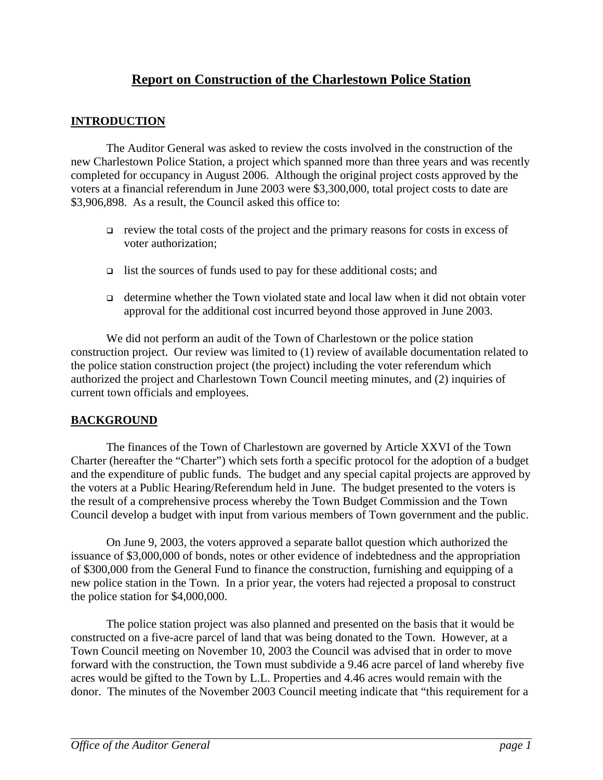## **Report on Construction of the Charlestown Police Station**

## **INTRODUCTION**

 The Auditor General was asked to review the costs involved in the construction of the new Charlestown Police Station, a project which spanned more than three years and was recently completed for occupancy in August 2006. Although the original project costs approved by the voters at a financial referendum in June 2003 were \$3,300,000, total project costs to date are \$3,906,898. As a result, the Council asked this office to:

- $\Box$  review the total costs of the project and the primary reasons for costs in excess of voter authorization;
- $\Box$  list the sources of funds used to pay for these additional costs; and
- determine whether the Town violated state and local law when it did not obtain voter approval for the additional cost incurred beyond those approved in June 2003.

 We did not perform an audit of the Town of Charlestown or the police station construction project. Our review was limited to (1) review of available documentation related to the police station construction project (the project) including the voter referendum which authorized the project and Charlestown Town Council meeting minutes, and (2) inquiries of current town officials and employees.

## **BACKGROUND**

The finances of the Town of Charlestown are governed by Article XXVI of the Town Charter (hereafter the "Charter") which sets forth a specific protocol for the adoption of a budget and the expenditure of public funds. The budget and any special capital projects are approved by the voters at a Public Hearing/Referendum held in June. The budget presented to the voters is the result of a comprehensive process whereby the Town Budget Commission and the Town Council develop a budget with input from various members of Town government and the public.

On June 9, 2003, the voters approved a separate ballot question which authorized the issuance of \$3,000,000 of bonds, notes or other evidence of indebtedness and the appropriation of \$300,000 from the General Fund to finance the construction, furnishing and equipping of a new police station in the Town. In a prior year, the voters had rejected a proposal to construct the police station for \$4,000,000.

The police station project was also planned and presented on the basis that it would be constructed on a five-acre parcel of land that was being donated to the Town. However, at a Town Council meeting on November 10, 2003 the Council was advised that in order to move forward with the construction, the Town must subdivide a 9.46 acre parcel of land whereby five acres would be gifted to the Town by L.L. Properties and 4.46 acres would remain with the donor. The minutes of the November 2003 Council meeting indicate that "this requirement for a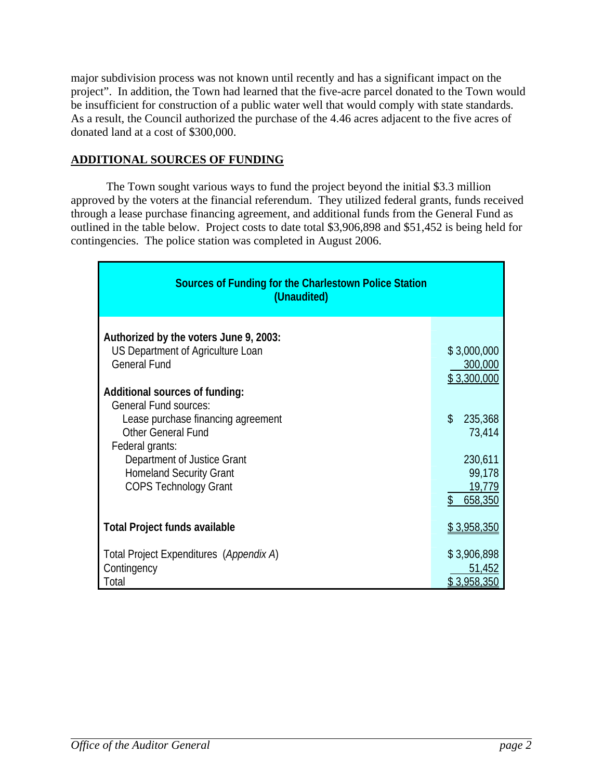major subdivision process was not known until recently and has a significant impact on the project". In addition, the Town had learned that the five-acre parcel donated to the Town would be insufficient for construction of a public water well that would comply with state standards. As a result, the Council authorized the purchase of the 4.46 acres adjacent to the five acres of donated land at a cost of \$300,000.

## **ADDITIONAL SOURCES OF FUNDING**

 The Town sought various ways to fund the project beyond the initial \$3.3 million approved by the voters at the financial referendum. They utilized federal grants, funds received through a lease purchase financing agreement, and additional funds from the General Fund as outlined in the table below. Project costs to date total \$3,906,898 and \$51,452 is being held for contingencies. The police station was completed in August 2006.

| <b>Sources of Funding for the Charlestown Police Station</b><br>(Unaudited)                                                                                                                                                                                                                                                                                 |                                                                                                            |  |  |  |  |
|-------------------------------------------------------------------------------------------------------------------------------------------------------------------------------------------------------------------------------------------------------------------------------------------------------------------------------------------------------------|------------------------------------------------------------------------------------------------------------|--|--|--|--|
| Authorized by the voters June 9, 2003:<br>US Department of Agriculture Loan<br><b>General Fund</b><br>Additional sources of funding:<br><b>General Fund sources:</b><br>Lease purchase financing agreement<br><b>Other General Fund</b><br>Federal grants:<br>Department of Justice Grant<br><b>Homeland Security Grant</b><br><b>COPS Technology Grant</b> | \$3,000,000<br>300,000<br>\$3,300,000<br>\$<br>235,368<br>73,414<br>230,611<br>99,178<br>19,779<br>658,350 |  |  |  |  |
| <b>Total Project funds available</b>                                                                                                                                                                                                                                                                                                                        | \$3,958,350                                                                                                |  |  |  |  |
| Total Project Expenditures (Appendix A)<br>Contingency<br>Total                                                                                                                                                                                                                                                                                             | \$3,906,898<br>51,452<br>\$3,958,350                                                                       |  |  |  |  |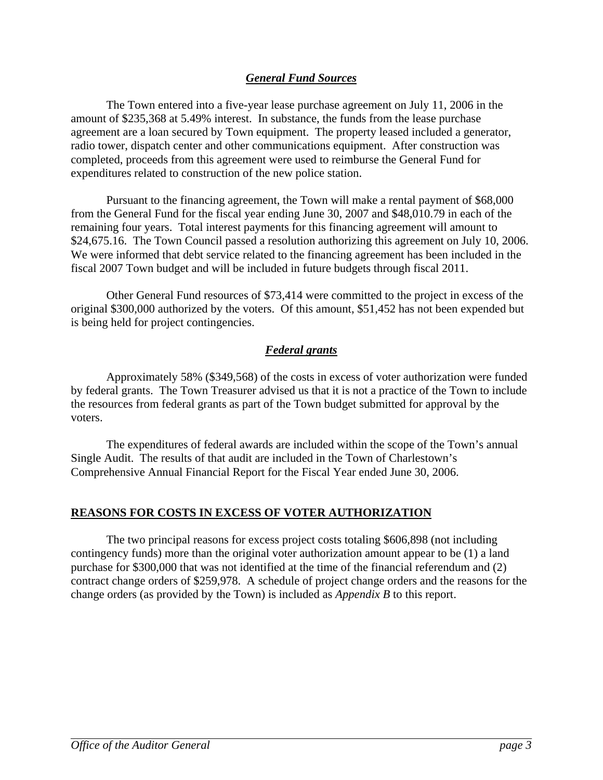## *General Fund Sources*

 The Town entered into a five-year lease purchase agreement on July 11, 2006 in the amount of \$235,368 at 5.49% interest. In substance, the funds from the lease purchase agreement are a loan secured by Town equipment. The property leased included a generator, radio tower, dispatch center and other communications equipment. After construction was completed, proceeds from this agreement were used to reimburse the General Fund for expenditures related to construction of the new police station.

 Pursuant to the financing agreement, the Town will make a rental payment of \$68,000 from the General Fund for the fiscal year ending June 30, 2007 and \$48,010.79 in each of the remaining four years. Total interest payments for this financing agreement will amount to \$24,675.16. The Town Council passed a resolution authorizing this agreement on July 10, 2006. We were informed that debt service related to the financing agreement has been included in the fiscal 2007 Town budget and will be included in future budgets through fiscal 2011.

 Other General Fund resources of \$73,414 were committed to the project in excess of the original \$300,000 authorized by the voters. Of this amount, \$51,452 has not been expended but is being held for project contingencies.

## *Federal grants*

Approximately 58% (\$349,568) of the costs in excess of voter authorization were funded by federal grants. The Town Treasurer advised us that it is not a practice of the Town to include the resources from federal grants as part of the Town budget submitted for approval by the voters.

The expenditures of federal awards are included within the scope of the Town's annual Single Audit. The results of that audit are included in the Town of Charlestown's Comprehensive Annual Financial Report for the Fiscal Year ended June 30, 2006.

## **REASONS FOR COSTS IN EXCESS OF VOTER AUTHORIZATION**

 The two principal reasons for excess project costs totaling \$606,898 (not including contingency funds) more than the original voter authorization amount appear to be (1) a land purchase for \$300,000 that was not identified at the time of the financial referendum and (2) contract change orders of \$259,978. A schedule of project change orders and the reasons for the change orders (as provided by the Town) is included as *Appendix B* to this report.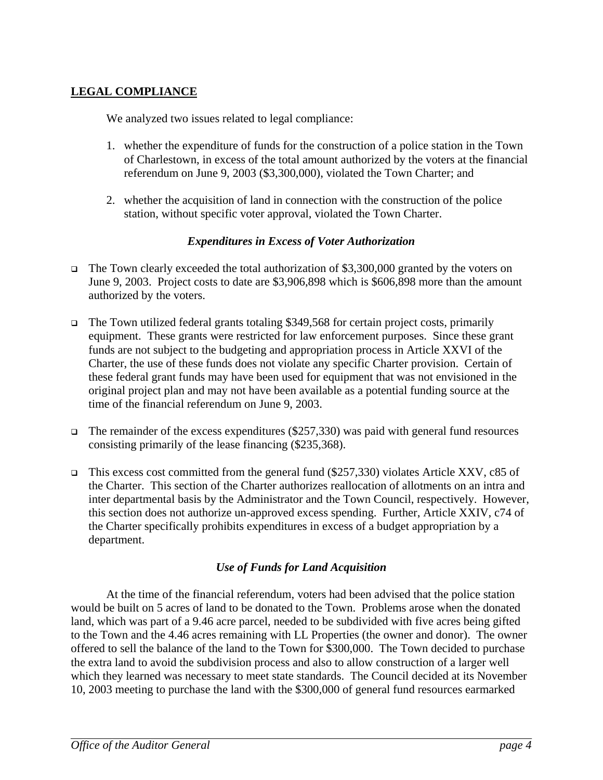## **LEGAL COMPLIANCE**

We analyzed two issues related to legal compliance:

- 1. whether the expenditure of funds for the construction of a police station in the Town of Charlestown, in excess of the total amount authorized by the voters at the financial referendum on June 9, 2003 (\$3,300,000), violated the Town Charter; and
- 2. whether the acquisition of land in connection with the construction of the police station, without specific voter approval, violated the Town Charter.

## *Expenditures in Excess of Voter Authorization*

- The Town clearly exceeded the total authorization of \$3,300,000 granted by the voters on June 9, 2003. Project costs to date are \$3,906,898 which is \$606,898 more than the amount authorized by the voters.
- $\Box$  The Town utilized federal grants totaling \$349,568 for certain project costs, primarily equipment. These grants were restricted for law enforcement purposes. Since these grant funds are not subject to the budgeting and appropriation process in Article XXVI of the Charter, the use of these funds does not violate any specific Charter provision. Certain of these federal grant funds may have been used for equipment that was not envisioned in the original project plan and may not have been available as a potential funding source at the time of the financial referendum on June 9, 2003.
- The remainder of the excess expenditures (\$257,330) was paid with general fund resources consisting primarily of the lease financing (\$235,368).
- This excess cost committed from the general fund (\$257,330) violates Article XXV, c85 of the Charter. This section of the Charter authorizes reallocation of allotments on an intra and inter departmental basis by the Administrator and the Town Council, respectively. However, this section does not authorize un-approved excess spending. Further, Article XXIV, c74 of the Charter specifically prohibits expenditures in excess of a budget appropriation by a department.

## *Use of Funds for Land Acquisition*

 At the time of the financial referendum, voters had been advised that the police station would be built on 5 acres of land to be donated to the Town. Problems arose when the donated land, which was part of a 9.46 acre parcel, needed to be subdivided with five acres being gifted to the Town and the 4.46 acres remaining with LL Properties (the owner and donor). The owner offered to sell the balance of the land to the Town for \$300,000. The Town decided to purchase the extra land to avoid the subdivision process and also to allow construction of a larger well which they learned was necessary to meet state standards. The Council decided at its November 10, 2003 meeting to purchase the land with the \$300,000 of general fund resources earmarked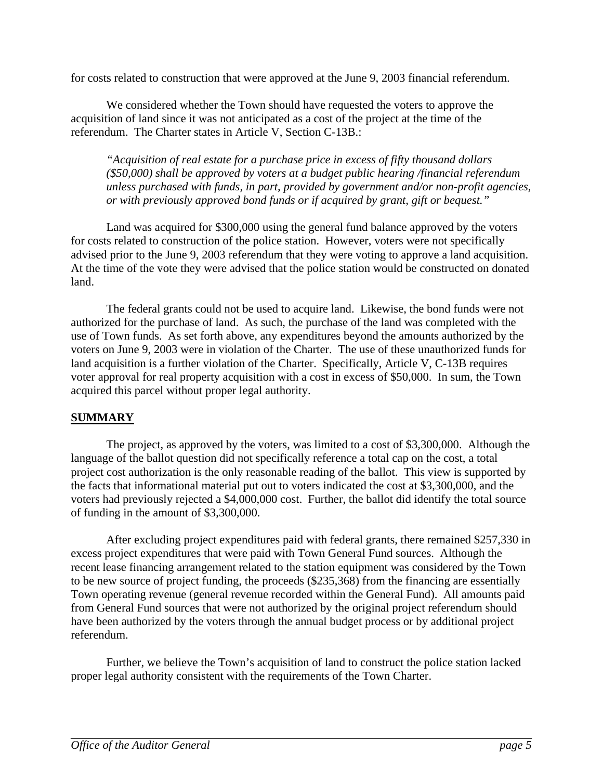for costs related to construction that were approved at the June 9, 2003 financial referendum.

 We considered whether the Town should have requested the voters to approve the acquisition of land since it was not anticipated as a cost of the project at the time of the referendum. The Charter states in Article V, Section C-13B.:

*"Acquisition of real estate for a purchase price in excess of fifty thousand dollars (\$50,000) shall be approved by voters at a budget public hearing /financial referendum unless purchased with funds, in part, provided by government and/or non-profit agencies, or with previously approved bond funds or if acquired by grant, gift or bequest."* 

 Land was acquired for \$300,000 using the general fund balance approved by the voters for costs related to construction of the police station. However, voters were not specifically advised prior to the June 9, 2003 referendum that they were voting to approve a land acquisition. At the time of the vote they were advised that the police station would be constructed on donated land.

 The federal grants could not be used to acquire land. Likewise, the bond funds were not authorized for the purchase of land. As such, the purchase of the land was completed with the use of Town funds. As set forth above, any expenditures beyond the amounts authorized by the voters on June 9, 2003 were in violation of the Charter. The use of these unauthorized funds for land acquisition is a further violation of the Charter. Specifically, Article V, C-13B requires voter approval for real property acquisition with a cost in excess of \$50,000. In sum, the Town acquired this parcel without proper legal authority.

## **SUMMARY**

 The project, as approved by the voters, was limited to a cost of \$3,300,000. Although the language of the ballot question did not specifically reference a total cap on the cost, a total project cost authorization is the only reasonable reading of the ballot. This view is supported by the facts that informational material put out to voters indicated the cost at \$3,300,000, and the voters had previously rejected a \$4,000,000 cost. Further, the ballot did identify the total source of funding in the amount of \$3,300,000.

 After excluding project expenditures paid with federal grants, there remained \$257,330 in excess project expenditures that were paid with Town General Fund sources. Although the recent lease financing arrangement related to the station equipment was considered by the Town to be new source of project funding, the proceeds (\$235,368) from the financing are essentially Town operating revenue (general revenue recorded within the General Fund). All amounts paid from General Fund sources that were not authorized by the original project referendum should have been authorized by the voters through the annual budget process or by additional project referendum.

 Further, we believe the Town's acquisition of land to construct the police station lacked proper legal authority consistent with the requirements of the Town Charter.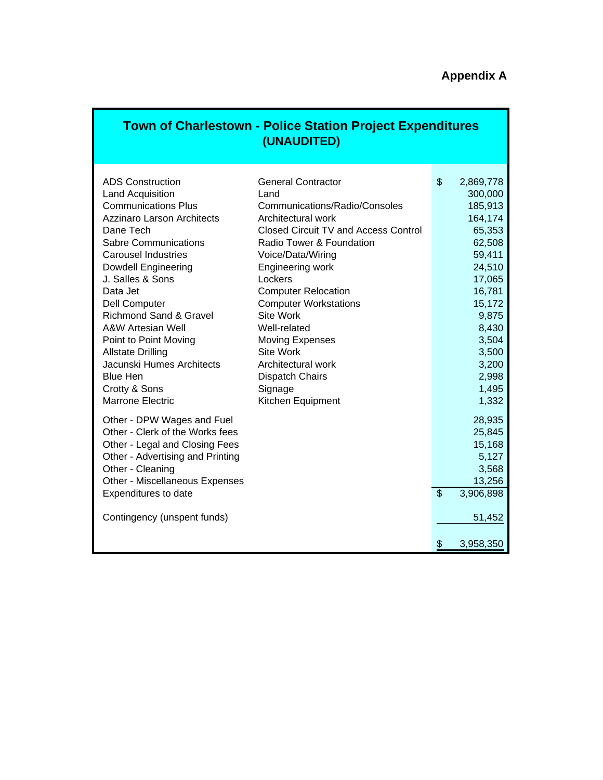# **Appendix A**

|                                                                                                                                                                                                                                                                                                                                                                                                                                                                                        | <b>Town of Charlestown - Police Station Project Expenditures</b><br>(UNAUDITED)                                                                                                                                                                                                                                                                                                                                                                         |          |                                                                                                                                                                                          |
|----------------------------------------------------------------------------------------------------------------------------------------------------------------------------------------------------------------------------------------------------------------------------------------------------------------------------------------------------------------------------------------------------------------------------------------------------------------------------------------|---------------------------------------------------------------------------------------------------------------------------------------------------------------------------------------------------------------------------------------------------------------------------------------------------------------------------------------------------------------------------------------------------------------------------------------------------------|----------|------------------------------------------------------------------------------------------------------------------------------------------------------------------------------------------|
| <b>ADS Construction</b><br>Land Acquisition<br><b>Communications Plus</b><br><b>Azzinaro Larson Architects</b><br>Dane Tech<br><b>Sabre Communications</b><br><b>Carousel Industries</b><br>Dowdell Engineering<br>J. Salles & Sons<br>Data Jet<br>Dell Computer<br><b>Richmond Sand &amp; Gravel</b><br><b>A&amp;W Artesian Well</b><br>Point to Point Moving<br><b>Allstate Drilling</b><br>Jacunski Humes Architects<br><b>Blue Hen</b><br>Crotty & Sons<br><b>Marrone Electric</b> | <b>General Contractor</b><br>Land<br>Communications/Radio/Consoles<br>Architectural work<br><b>Closed Circuit TV and Access Control</b><br>Radio Tower & Foundation<br>Voice/Data/Wiring<br>Engineering work<br>Lockers<br><b>Computer Relocation</b><br><b>Computer Workstations</b><br><b>Site Work</b><br>Well-related<br><b>Moving Expenses</b><br><b>Site Work</b><br>Architectural work<br><b>Dispatch Chairs</b><br>Signage<br>Kitchen Equipment | \$       | 2,869,778<br>300,000<br>185,913<br>164,174<br>65,353<br>62,508<br>59,411<br>24,510<br>17,065<br>16,781<br>15,172<br>9,875<br>8,430<br>3,504<br>3,500<br>3,200<br>2,998<br>1,495<br>1,332 |
| Other - DPW Wages and Fuel<br>Other - Clerk of the Works fees<br>Other - Legal and Closing Fees<br>Other - Advertising and Printing<br>Other - Cleaning<br>Other - Miscellaneous Expenses<br>Expenditures to date<br>Contingency (unspent funds)                                                                                                                                                                                                                                       |                                                                                                                                                                                                                                                                                                                                                                                                                                                         | \$<br>\$ | 28,935<br>25,845<br>15,168<br>5,127<br>3,568<br>13,256<br>3,906,898<br>51,452<br>3,958,350                                                                                               |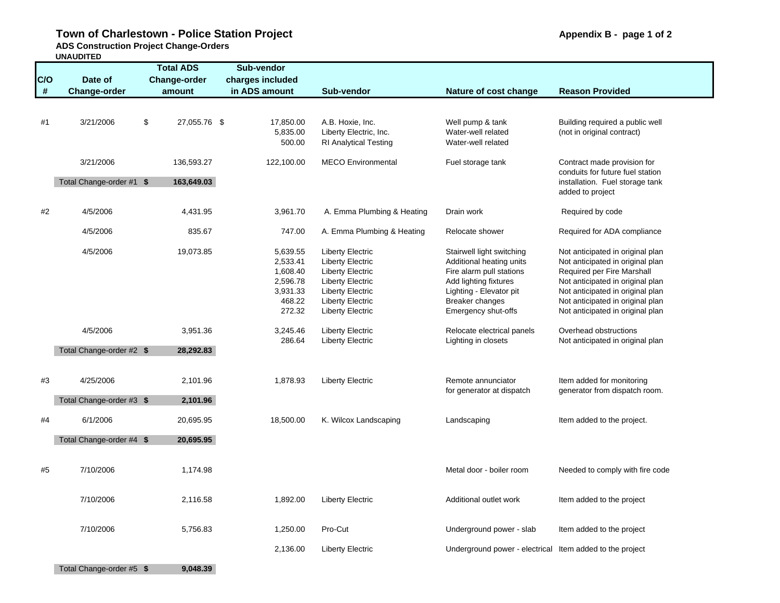## Town of Charlestown - Police Station Project **Appendix B** - page 1 of 2

**ADS Construction Project Change-Orders** 

**UNAUDITED**

|      | UNAUDIIED                |                     |                  |                              |                                                          |                                  |
|------|--------------------------|---------------------|------------------|------------------------------|----------------------------------------------------------|----------------------------------|
|      |                          | <b>Total ADS</b>    | Sub-vendor       |                              |                                                          |                                  |
| C/O  | Date of                  | <b>Change-order</b> | charges included |                              |                                                          |                                  |
| $\#$ | Change-order             | amount              | in ADS amount    | Sub-vendor                   | Nature of cost change                                    | <b>Reason Provided</b>           |
|      |                          |                     |                  |                              |                                                          |                                  |
|      |                          |                     |                  |                              |                                                          |                                  |
| #1   | 3/21/2006                | \$<br>27,055.76 \$  | 17,850.00        | A.B. Hoxie, Inc.             | Well pump & tank                                         | Building required a public well  |
|      |                          |                     |                  |                              | Water-well related                                       |                                  |
|      |                          |                     | 5,835.00         | Liberty Electric, Inc.       |                                                          | (not in original contract)       |
|      |                          |                     | 500.00           | <b>RI Analytical Testing</b> | Water-well related                                       |                                  |
|      | 3/21/2006                | 136,593.27          | 122,100.00       | <b>MECO</b> Environmental    | Fuel storage tank                                        | Contract made provision for      |
|      |                          |                     |                  |                              |                                                          | conduits for future fuel station |
|      | Total Change-order #1 \$ | 163,649.03          |                  |                              |                                                          | installation. Fuel storage tank  |
|      |                          |                     |                  |                              |                                                          | added to project                 |
|      |                          |                     |                  |                              |                                                          |                                  |
| #2   | 4/5/2006                 | 4,431.95            | 3,961.70         | A. Emma Plumbing & Heating   | Drain work                                               | Required by code                 |
|      |                          |                     |                  |                              |                                                          |                                  |
|      | 4/5/2006                 | 835.67              | 747.00           | A. Emma Plumbing & Heating   | Relocate shower                                          | Required for ADA compliance      |
|      |                          |                     |                  |                              |                                                          |                                  |
|      | 4/5/2006                 | 19,073.85           | 5,639.55         | <b>Liberty Electric</b>      | Stairwell light switching                                | Not anticipated in original plan |
|      |                          |                     | 2,533.41         | <b>Liberty Electric</b>      | Additional heating units                                 | Not anticipated in original plan |
|      |                          |                     | 1,608.40         | <b>Liberty Electric</b>      | Fire alarm pull stations                                 | Required per Fire Marshall       |
|      |                          |                     | 2,596.78         | <b>Liberty Electric</b>      | Add lighting fixtures                                    | Not anticipated in original plan |
|      |                          |                     | 3,931.33         | <b>Liberty Electric</b>      | Lighting - Elevator pit                                  | Not anticipated in original plan |
|      |                          |                     | 468.22           | <b>Liberty Electric</b>      | Breaker changes                                          | Not anticipated in original plan |
|      |                          |                     | 272.32           | <b>Liberty Electric</b>      | Emergency shut-offs                                      | Not anticipated in original plan |
|      |                          |                     |                  |                              |                                                          |                                  |
|      | 4/5/2006                 | 3,951.36            | 3,245.46         | <b>Liberty Electric</b>      | Relocate electrical panels                               | Overhead obstructions            |
|      |                          |                     | 286.64           | <b>Liberty Electric</b>      | Lighting in closets                                      | Not anticipated in original plan |
|      | Total Change-order #2 \$ | 28,292.83           |                  |                              |                                                          |                                  |
|      |                          |                     |                  |                              |                                                          |                                  |
|      |                          |                     |                  |                              |                                                          |                                  |
| #3   | 4/25/2006                | 2,101.96            | 1,878.93         | <b>Liberty Electric</b>      | Remote annunciator                                       | Item added for monitoring        |
|      |                          |                     |                  |                              | for generator at dispatch                                | generator from dispatch room.    |
|      | Total Change-order #3 \$ | 2,101.96            |                  |                              |                                                          |                                  |
|      |                          |                     |                  |                              |                                                          |                                  |
| #4   | 6/1/2006                 | 20,695.95           | 18,500.00        | K. Wilcox Landscaping        | Landscaping                                              | Item added to the project.       |
|      |                          |                     |                  |                              |                                                          |                                  |
|      | Total Change-order #4 \$ | 20,695.95           |                  |                              |                                                          |                                  |
|      |                          |                     |                  |                              |                                                          |                                  |
| #5   | 7/10/2006                | 1,174.98            |                  |                              | Metal door - boiler room                                 | Needed to comply with fire code  |
|      |                          |                     |                  |                              |                                                          |                                  |
|      |                          |                     |                  |                              |                                                          |                                  |
|      | 7/10/2006                | 2,116.58            | 1,892.00         | <b>Liberty Electric</b>      | Additional outlet work                                   | Item added to the project        |
|      |                          |                     |                  |                              |                                                          |                                  |
|      |                          |                     |                  |                              |                                                          |                                  |
|      | 7/10/2006                | 5,756.83            | 1,250.00         | Pro-Cut                      | Underground power - slab                                 | Item added to the project        |
|      |                          |                     |                  |                              |                                                          |                                  |
|      |                          |                     | 2,136.00         | <b>Liberty Electric</b>      | Underground power - electrical Item added to the project |                                  |
|      |                          |                     |                  |                              |                                                          |                                  |
|      | Total Change-order #5 \$ | 9.048.39            |                  |                              |                                                          |                                  |